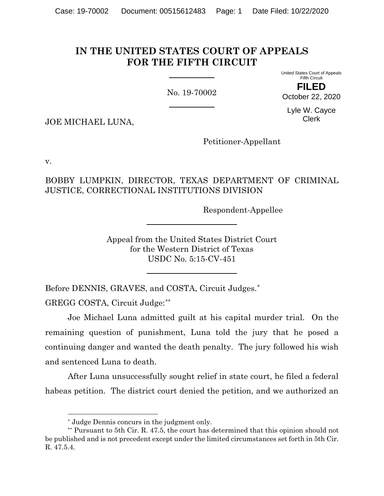# **IN THE UNITED STATES COURT OF APPEALS FOR THE FIFTH CIRCUIT**

No. 19-70002

United States Court of Appeals Fifth Circuit

**FILED** October 22, 2020

Lyle W. Cayce Clerk

JOE MICHAEL LUNA,

Petitioner-Appellant

v.

BOBBY LUMPKIN, DIRECTOR, TEXAS DEPARTMENT OF CRIMINAL JUSTICE, CORRECTIONAL INSTITUTIONS DIVISION

Respondent-Appellee

Appeal from the United States District Court for the Western District of Texas USDC No. 5:15-CV-451

Before DENNIS, GRAVES, and COSTA, Circuit Judges.[\\*](#page-0-0)

GREGG COSTA, Circuit Judge:[\\*\\*](#page-0-1)

Joe Michael Luna admitted guilt at his capital murder trial. On the remaining question of punishment, Luna told the jury that he posed a continuing danger and wanted the death penalty. The jury followed his wish and sentenced Luna to death.

After Luna unsuccessfully sought relief in state court, he filed a federal habeas petition. The district court denied the petition, and we authorized an

<sup>\*</sup> Judge Dennis concurs in the judgment only.

<span id="page-0-1"></span><span id="page-0-0"></span><sup>\*\*</sup> Pursuant to 5th Cir. R. 47.5, the court has determined that this opinion should not be published and is not precedent except under the limited circumstances set forth in 5th Cir. R. 47.5.4.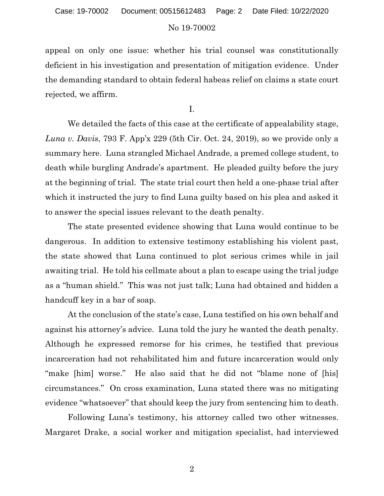appeal on only one issue: whether his trial counsel was constitutionally deficient in his investigation and presentation of mitigation evidence. Under the demanding standard to obtain federal habeas relief on claims a state court rejected, we affirm.

I.

We detailed the facts of this case at the certificate of appealability stage, *Luna v. Davis*, 793 F. App'x 229 (5th Cir. Oct. 24, 2019), so we provide only a summary here. Luna strangled Michael Andrade, a premed college student, to death while burgling Andrade's apartment. He pleaded guilty before the jury at the beginning of trial. The state trial court then held a one-phase trial after which it instructed the jury to find Luna guilty based on his plea and asked it to answer the special issues relevant to the death penalty.

The state presented evidence showing that Luna would continue to be dangerous. In addition to extensive testimony establishing his violent past, the state showed that Luna continued to plot serious crimes while in jail awaiting trial. He told his cellmate about a plan to escape using the trial judge as a "human shield." This was not just talk; Luna had obtained and hidden a handcuff key in a bar of soap.

At the conclusion of the state's case, Luna testified on his own behalf and against his attorney's advice. Luna told the jury he wanted the death penalty. Although he expressed remorse for his crimes, he testified that previous incarceration had not rehabilitated him and future incarceration would only "make [him] worse." He also said that he did not "blame none of [his] circumstances." On cross examination, Luna stated there was no mitigating evidence "whatsoever" that should keep the jury from sentencing him to death.

Following Luna's testimony, his attorney called two other witnesses. Margaret Drake, a social worker and mitigation specialist, had interviewed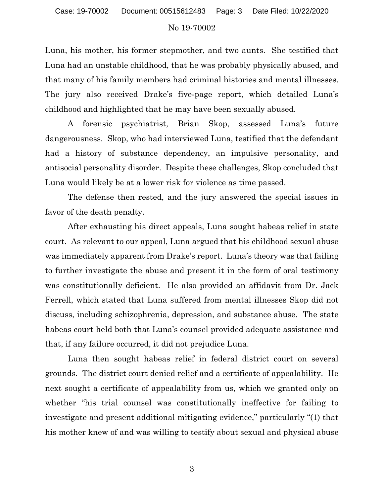Luna, his mother, his former stepmother, and two aunts. She testified that Luna had an unstable childhood, that he was probably physically abused, and that many of his family members had criminal histories and mental illnesses. The jury also received Drake's five-page report, which detailed Luna's childhood and highlighted that he may have been sexually abused.

A forensic psychiatrist, Brian Skop, assessed Luna's future dangerousness. Skop, who had interviewed Luna, testified that the defendant had a history of substance dependency, an impulsive personality, and antisocial personality disorder. Despite these challenges, Skop concluded that Luna would likely be at a lower risk for violence as time passed.

The defense then rested, and the jury answered the special issues in favor of the death penalty.

After exhausting his direct appeals, Luna sought habeas relief in state court. As relevant to our appeal, Luna argued that his childhood sexual abuse was immediately apparent from Drake's report. Luna's theory was that failing to further investigate the abuse and present it in the form of oral testimony was constitutionally deficient. He also provided an affidavit from Dr. Jack Ferrell, which stated that Luna suffered from mental illnesses Skop did not discuss, including schizophrenia, depression, and substance abuse. The state habeas court held both that Luna's counsel provided adequate assistance and that, if any failure occurred, it did not prejudice Luna.

Luna then sought habeas relief in federal district court on several grounds. The district court denied relief and a certificate of appealability. He next sought a certificate of appealability from us, which we granted only on whether "his trial counsel was constitutionally ineffective for failing to investigate and present additional mitigating evidence," particularly "(1) that his mother knew of and was willing to testify about sexual and physical abuse

3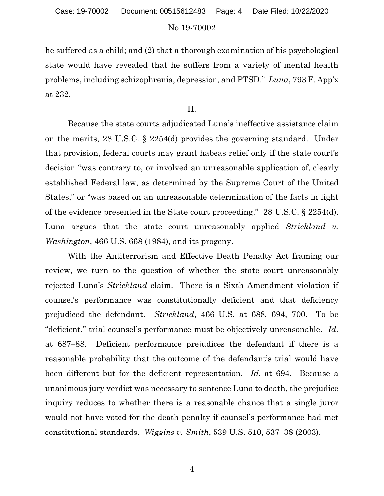he suffered as a child; and (2) that a thorough examination of his psychological state would have revealed that he suffers from a variety of mental health problems, including schizophrenia, depression, and PTSD." *Luna*, 793 F. App'x at 232.

II.

Because the state courts adjudicated Luna's ineffective assistance claim on the merits, 28 U.S.C. § 2254(d) provides the governing standard. Under that provision, federal courts may grant habeas relief only if the state court's decision "was contrary to, or involved an unreasonable application of, clearly established Federal law, as determined by the Supreme Court of the United States," or "was based on an unreasonable determination of the facts in light of the evidence presented in the State court proceeding." 28 U.S.C. § 2254(d). Luna argues that the state court unreasonably applied *Strickland v. Washington*, 466 U.S. 668 (1984), and its progeny.

With the Antiterrorism and Effective Death Penalty Act framing our review, we turn to the question of whether the state court unreasonably rejected Luna's *Strickland* claim. There is a Sixth Amendment violation if counsel's performance was constitutionally deficient and that deficiency prejudiced the defendant. *Strickland*, 466 U.S. at 688, 694, 700. To be "deficient," trial counsel's performance must be objectively unreasonable. *Id.* at 687–88. Deficient performance prejudices the defendant if there is a reasonable probability that the outcome of the defendant's trial would have been different but for the deficient representation. *Id.* at 694. Because a unanimous jury verdict was necessary to sentence Luna to death, the prejudice inquiry reduces to whether there is a reasonable chance that a single juror would not have voted for the death penalty if counsel's performance had met constitutional standards. *Wiggins v. Smith*, 539 U.S. 510, 537–38 (2003).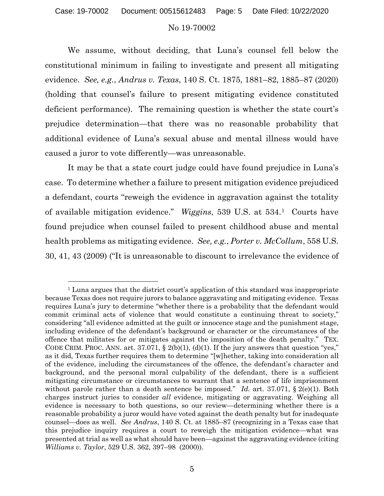#### Case: 19-70002 Document: 00515612483 Page: 5 Date Filed: 10/22/2020

#### No 19-70002

We assume, without deciding, that Luna's counsel fell below the constitutional minimum in failing to investigate and present all mitigating evidence. *See, e.g.*, *Andrus v. Texas*, 140 S. Ct. 1875, 1881–82, 1885–87 (2020) (holding that counsel's failure to present mitigating evidence constituted deficient performance). The remaining question is whether the state court's prejudice determination—that there was no reasonable probability that additional evidence of Luna's sexual abuse and mental illness would have caused a juror to vote differently—was unreasonable.

It may be that a state court judge could have found prejudice in Luna's case. To determine whether a failure to present mitigation evidence prejudiced a defendant, courts "reweigh the evidence in aggravation against the totality of available mitigation evidence." *Wiggins*, 539 U.S. at 534.[1](#page-4-0) Courts have found prejudice when counsel failed to present childhood abuse and mental health problems as mitigating evidence. *See, e.g.*, *Porter v. McCollum*, 558 U.S. 30, 41, 43 (2009) ("It is unreasonable to discount to irrelevance the evidence of

<span id="page-4-0"></span><sup>&</sup>lt;sup>1</sup> Luna argues that the district court's application of this standard was inappropriate because Texas does not require jurors to balance aggravating and mitigating evidence. Texas requires Luna's jury to determine "whether there is a probability that the defendant would commit criminal acts of violence that would constitute a continuing threat to society," considering "all evidence admitted at the guilt or innocence stage and the punishment stage, including evidence of the defendant's background or character or the circumstances of the offence that militates for or mitigates against the imposition of the death penalty." TEX. CODE CRIM. PROC. ANN. art. 37.071,  $\S$  2(b)(1), (d)(1). If the jury answers that question "yes," as it did, Texas further requires them to determine "[w]hether, taking into consideration all of the evidence, including the circumstances of the offence, the defendant's character and background, and the personal moral culpability of the defendant, there is a sufficient mitigating circumstance or circumstances to warrant that a sentence of life imprisonment without parole rather than a death sentence be imposed." *Id.* art. 37.071, § 2(e)(1). Both charges instruct juries to consider *all* evidence, mitigating or aggravating. Weighing all evidence is necessary to both questions, so our review—determining whether there is a reasonable probability a juror would have voted against the death penalty but for inadequate counsel—does as well. *See Andrus*, 140 S. Ct. at 1885–87 (recognizing in a Texas case that this prejudice inquiry requires a court to reweigh the mitigation evidence—what was presented at trial as well as what should have been—against the aggravating evidence (citing *Williams v. Taylor*, 529 U.S. 362, 397–98 (2000)).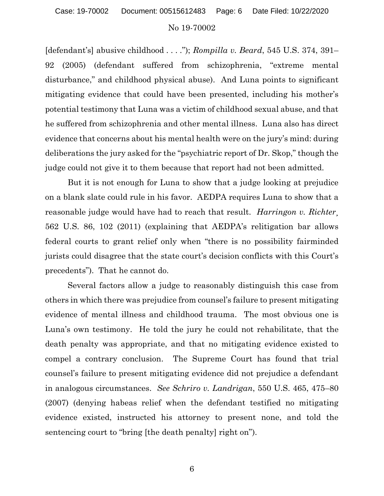#### Case: 19-70002 Document: 00515612483 Page: 6 Date Filed: 10/22/2020

#### No 19-70002

[defendant's] abusive childhood . . . ."); *Rompilla v. Beard*, 545 U.S. 374, 391– 92 (2005) (defendant suffered from schizophrenia, "extreme mental disturbance," and childhood physical abuse). And Luna points to significant mitigating evidence that could have been presented, including his mother's potential testimony that Luna was a victim of childhood sexual abuse, and that he suffered from schizophrenia and other mental illness. Luna also has direct evidence that concerns about his mental health were on the jury's mind: during deliberations the jury asked for the "psychiatric report of Dr. Skop," though the judge could not give it to them because that report had not been admitted.

But it is not enough for Luna to show that a judge looking at prejudice on a blank slate could rule in his favor. AEDPA requires Luna to show that a reasonable judge would have had to reach that result. *Harringon v. Richter*¸ 562 U.S. 86, 102 (2011) (explaining that AEDPA's relitigation bar allows federal courts to grant relief only when "there is no possibility fairminded jurists could disagree that the state court's decision conflicts with this Court's precedents"). That he cannot do.

Several factors allow a judge to reasonably distinguish this case from others in which there was prejudice from counsel's failure to present mitigating evidence of mental illness and childhood trauma. The most obvious one is Luna's own testimony. He told the jury he could not rehabilitate, that the death penalty was appropriate, and that no mitigating evidence existed to compel a contrary conclusion. The Supreme Court has found that trial counsel's failure to present mitigating evidence did not prejudice a defendant in analogous circumstances. *See Schriro v. Landrigan*, 550 U.S. 465, 475–80 (2007) (denying habeas relief when the defendant testified no mitigating evidence existed, instructed his attorney to present none, and told the sentencing court to "bring [the death penalty] right on").

6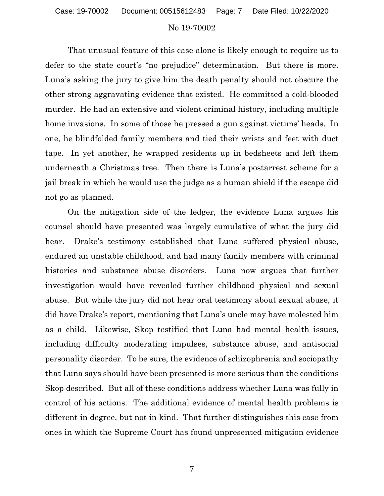#### Case: 19-70002 Document: 00515612483 Page: 7 Date Filed: 10/22/2020

#### No 19-70002

That unusual feature of this case alone is likely enough to require us to defer to the state court's "no prejudice" determination. But there is more. Luna's asking the jury to give him the death penalty should not obscure the other strong aggravating evidence that existed. He committed a cold-blooded murder. He had an extensive and violent criminal history, including multiple home invasions. In some of those he pressed a gun against victims' heads. In one, he blindfolded family members and tied their wrists and feet with duct tape. In yet another, he wrapped residents up in bedsheets and left them underneath a Christmas tree. Then there is Luna's postarrest scheme for a jail break in which he would use the judge as a human shield if the escape did not go as planned.

On the mitigation side of the ledger, the evidence Luna argues his counsel should have presented was largely cumulative of what the jury did hear. Drake's testimony established that Luna suffered physical abuse, endured an unstable childhood, and had many family members with criminal histories and substance abuse disorders. Luna now argues that further investigation would have revealed further childhood physical and sexual abuse. But while the jury did not hear oral testimony about sexual abuse, it did have Drake's report, mentioning that Luna's uncle may have molested him as a child. Likewise, Skop testified that Luna had mental health issues, including difficulty moderating impulses, substance abuse, and antisocial personality disorder. To be sure, the evidence of schizophrenia and sociopathy that Luna says should have been presented is more serious than the conditions Skop described. But all of these conditions address whether Luna was fully in control of his actions. The additional evidence of mental health problems is different in degree, but not in kind. That further distinguishes this case from ones in which the Supreme Court has found unpresented mitigation evidence

7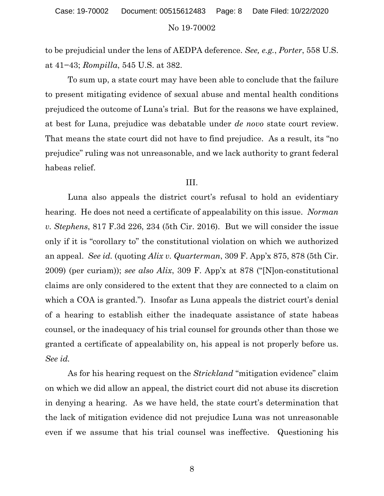# No 19-70002 Case: 19-70002 Document: 00515612483 Page: 8 Date Filed: 10/22/2020

to be prejudicial under the lens of AEDPA deference. *See, e.g.*, *Porter*, 558 U.S. at 41−43; *Rompilla*, 545 U.S. at 382.

To sum up, a state court may have been able to conclude that the failure to present mitigating evidence of sexual abuse and mental health conditions prejudiced the outcome of Luna's trial. But for the reasons we have explained, at best for Luna, prejudice was debatable under *de novo* state court review. That means the state court did not have to find prejudice. As a result, its "no prejudice" ruling was not unreasonable, and we lack authority to grant federal habeas relief.

### III.

Luna also appeals the district court's refusal to hold an evidentiary hearing. He does not need a certificate of appealability on this issue. *Norman v. Stephens*, 817 F.3d 226, 234 (5th Cir. 2016). But we will consider the issue only if it is "corollary to" the constitutional violation on which we authorized an appeal. *See id.* (quoting *Alix v. Quarterman*, 309 F. App'x 875, 878 (5th Cir. 2009) (per curiam)); *see also Alix*, 309 F. App'x at 878 ("[N]on-constitutional claims are only considered to the extent that they are connected to a claim on which a COA is granted."). Insofar as Luna appeals the district court's denial of a hearing to establish either the inadequate assistance of state habeas counsel, or the inadequacy of his trial counsel for grounds other than those we granted a certificate of appealability on, his appeal is not properly before us. *See id.*

As for his hearing request on the *Strickland* "mitigation evidence" claim on which we did allow an appeal, the district court did not abuse its discretion in denying a hearing. As we have held, the state court's determination that the lack of mitigation evidence did not prejudice Luna was not unreasonable even if we assume that his trial counsel was ineffective. Questioning his